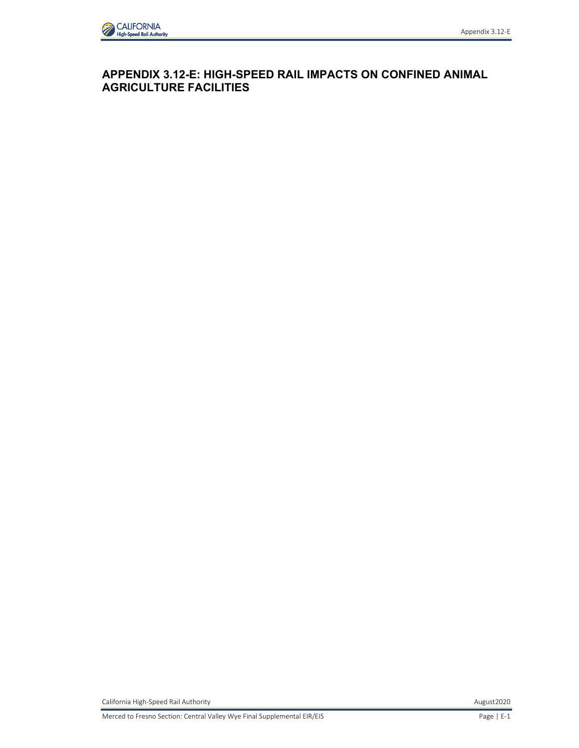

# **APPENDIX 3.12-E: HIGH-SPEED RAIL IMPACTS ON CONFINED ANIMAL AGRICULTURE FACILITIES**

California High-Speed Rail Authority **August2020** August2020

Merced to Fresno Section: Central Valley Wye Final Supplemental EIR/EIS Page | E-1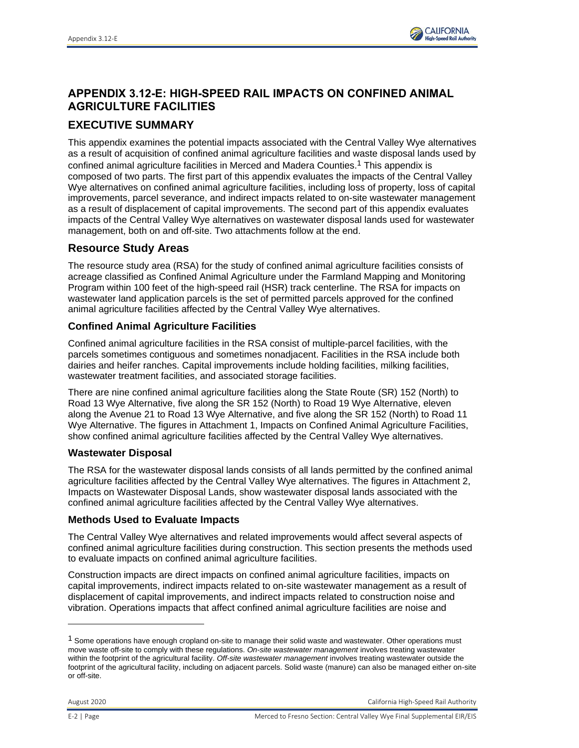

# **APPENDIX 3.12-E: HIGH-SPEED RAIL IMPACTS ON CONFINED ANIMAL AGRICULTURE FACILITIES**

# **EXECUTIVE SUMMARY**

This appendix examines the potential impacts associated with the Central Valley Wye alternatives as a result of acquisition of confined animal agriculture facilities and waste disposal lands used by confined animal agriculture facilities in Merced and Madera Counties.1 This appendix is composed of two parts. The first part of this appendix evaluates the impacts of the Central Valley Wye alternatives on confined animal agriculture facilities, including loss of property, loss of capital improvements, parcel severance, and indirect impacts related to on-site wastewater management as a result of displacement of capital improvements. The second part of this appendix evaluates impacts of the Central Valley Wye alternatives on wastewater disposal lands used for wastewater management, both on and off-site. Two attachments follow at the end.

# **Resource Study Areas**

The resource study area (RSA) for the study of confined animal agriculture facilities consists of acreage classified as Confined Animal Agriculture under the Farmland Mapping and Monitoring Program within 100 feet of the high-speed rail (HSR) track centerline. The RSA for impacts on wastewater land application parcels is the set of permitted parcels approved for the confined animal agriculture facilities affected by the Central Valley Wye alternatives.

# **Confined Animal Agriculture Facilities**

Confined animal agriculture facilities in the RSA consist of multiple-parcel facilities, with the parcels sometimes contiguous and sometimes nonadjacent. Facilities in the RSA include both dairies and heifer ranches. Capital improvements include holding facilities, milking facilities, wastewater treatment facilities, and associated storage facilities.

There are nine confined animal agriculture facilities along the State Route (SR) 152 (North) to Road 13 Wye Alternative, five along the SR 152 (North) to Road 19 Wye Alternative, eleven along the Avenue 21 to Road 13 Wye Alternative, and five along the SR 152 (North) to Road 11 Wye Alternative. The figures in Attachment 1, Impacts on Confined Animal Agriculture Facilities, show confined animal agriculture facilities affected by the Central Valley Wye alternatives.

# **Wastewater Disposal**

The RSA for the wastewater disposal lands consists of all lands permitted by the confined animal agriculture facilities affected by the Central Valley Wye alternatives. The figures in Attachment 2, Impacts on Wastewater Disposal Lands, show wastewater disposal lands associated with the confined animal agriculture facilities affected by the Central Valley Wye alternatives.

# **Methods Used to Evaluate Impacts**

The Central Valley Wye alternatives and related improvements would affect several aspects of confined animal agriculture facilities during construction. This section presents the methods used to evaluate impacts on confined animal agriculture facilities.

Construction impacts are direct impacts on confined animal agriculture facilities, impacts on capital improvements, indirect impacts related to on-site wastewater management as a result of displacement of capital improvements, and indirect impacts related to construction noise and vibration. Operations impacts that affect confined animal agriculture facilities are noise and

 $1$  Some operations have enough cropland on-site to manage their solid waste and wastewater. Other operations must move waste off-site to comply with these regulations. *On-site wastewater management* involves treating wastewater within the footprint of the agricultural facility. *Off-site wastewater management* involves treating wastewater outside the footprint of the agricultural facility, including on adjacent parcels. Solid waste (manure) can also be managed either on-site or off-site.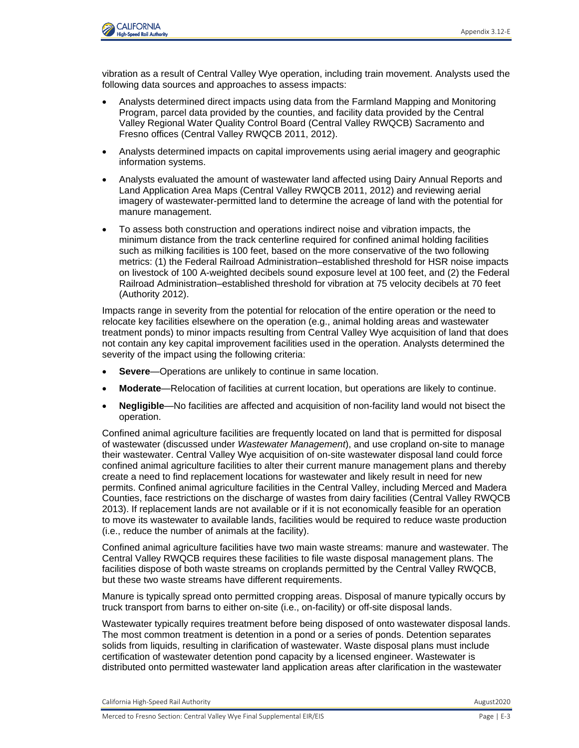

vibration as a result of Central Valley Wye operation, including train movement. Analysts used the following data sources and approaches to assess impacts:

- Analysts determined direct impacts using data from the Farmland Mapping and Monitoring Program, parcel data provided by the counties, and facility data provided by the Central Valley Regional Water Quality Control Board (Central Valley RWQCB) Sacramento and Fresno offices (Central Valley RWQCB 2011, 2012).
- Analysts determined impacts on capital improvements using aerial imagery and geographic information systems.
- Analysts evaluated the amount of wastewater land affected using Dairy Annual Reports and Land Application Area Maps (Central Valley RWQCB 2011, 2012) and reviewing aerial imagery of wastewater-permitted land to determine the acreage of land with the potential for manure management.
- To assess both construction and operations indirect noise and vibration impacts, the minimum distance from the track centerline required for confined animal holding facilities such as milking facilities is 100 feet, based on the more conservative of the two following metrics: (1) the Federal Railroad Administration–established threshold for HSR noise impacts on livestock of 100 A-weighted decibels sound exposure level at 100 feet, and (2) the Federal Railroad Administration–established threshold for vibration at 75 velocity decibels at 70 feet (Authority 2012).

Impacts range in severity from the potential for relocation of the entire operation or the need to relocate key facilities elsewhere on the operation (e.g., animal holding areas and wastewater treatment ponds) to minor impacts resulting from Central Valley Wye acquisition of land that does not contain any key capital improvement facilities used in the operation. Analysts determined the severity of the impact using the following criteria:

- **Severe**—Operations are unlikely to continue in same location.
- **Moderate**—Relocation of facilities at current location, but operations are likely to continue.
- **Negligible**—No facilities are affected and acquisition of non-facility land would not bisect the operation.

Confined animal agriculture facilities are frequently located on land that is permitted for disposal of wastewater (discussed under *Wastewater Management*), and use cropland on-site to manage their wastewater. Central Valley Wye acquisition of on-site wastewater disposal land could force confined animal agriculture facilities to alter their current manure management plans and thereby create a need to find replacement locations for wastewater and likely result in need for new permits. Confined animal agriculture facilities in the Central Valley, including Merced and Madera Counties, face restrictions on the discharge of wastes from dairy facilities (Central Valley RWQCB 2013). If replacement lands are not available or if it is not economically feasible for an operation to move its wastewater to available lands, facilities would be required to reduce waste production (i.e., reduce the number of animals at the facility).

Confined animal agriculture facilities have two main waste streams: manure and wastewater. The Central Valley RWQCB requires these facilities to file waste disposal management plans. The facilities dispose of both waste streams on croplands permitted by the Central Valley RWQCB, but these two waste streams have different requirements.

Manure is typically spread onto permitted cropping areas. Disposal of manure typically occurs by truck transport from barns to either on-site (i.e., on-facility) or off-site disposal lands.

Wastewater typically requires treatment before being disposed of onto wastewater disposal lands. The most common treatment is detention in a pond or a series of ponds. Detention separates solids from liquids, resulting in clarification of wastewater. Waste disposal plans must include certification of wastewater detention pond capacity by a licensed engineer. Wastewater is distributed onto permitted wastewater land application areas after clarification in the wastewater

California High-Speed Rail Authority August2020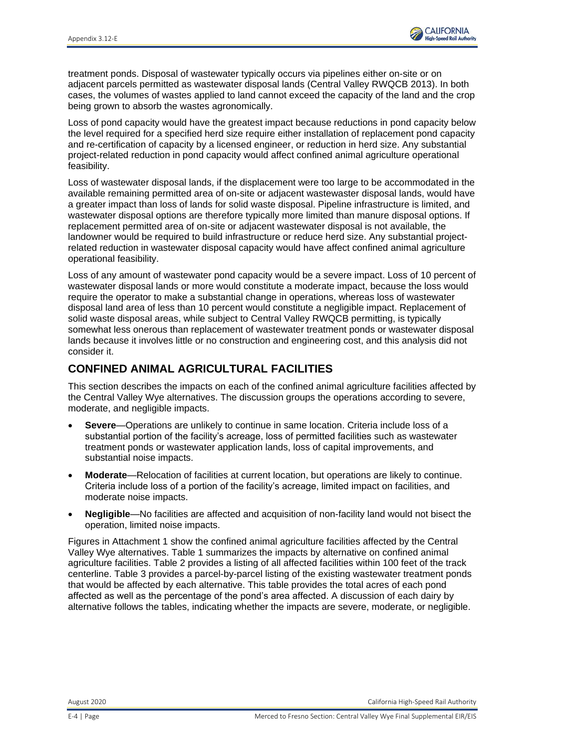

treatment ponds. Disposal of wastewater typically occurs via pipelines either on-site or on adjacent parcels permitted as wastewater disposal lands (Central Valley RWQCB 2013). In both cases, the volumes of wastes applied to land cannot exceed the capacity of the land and the crop being grown to absorb the wastes agronomically.

Loss of pond capacity would have the greatest impact because reductions in pond capacity below the level required for a specified herd size require either installation of replacement pond capacity and re-certification of capacity by a licensed engineer, or reduction in herd size. Any substantial project-related reduction in pond capacity would affect confined animal agriculture operational feasibility.

Loss of wastewater disposal lands, if the displacement were too large to be accommodated in the available remaining permitted area of on-site or adjacent wastewaster disposal lands, would have a greater impact than loss of lands for solid waste disposal. Pipeline infrastructure is limited, and wastewater disposal options are therefore typically more limited than manure disposal options. If replacement permitted area of on-site or adjacent wastewater disposal is not available, the landowner would be required to build infrastructure or reduce herd size. Any substantial projectrelated reduction in wastewater disposal capacity would have affect confined animal agriculture operational feasibility.

Loss of any amount of wastewater pond capacity would be a severe impact. Loss of 10 percent of wastewater disposal lands or more would constitute a moderate impact, because the loss would require the operator to make a substantial change in operations, whereas loss of wastewater disposal land area of less than 10 percent would constitute a negligible impact. Replacement of solid waste disposal areas, while subject to Central Valley RWQCB permitting, is typically somewhat less onerous than replacement of wastewater treatment ponds or wastewater disposal lands because it involves little or no construction and engineering cost, and this analysis did not consider it.

# **CONFINED ANIMAL AGRICULTURAL FACILITIES**

This section describes the impacts on each of the confined animal agriculture facilities affected by the Central Valley Wye alternatives. The discussion groups the operations according to severe, moderate, and negligible impacts.

- **Severe**—Operations are unlikely to continue in same location. Criteria include loss of a substantial portion of the facility's acreage, loss of permitted facilities such as wastewater treatment ponds or wastewater application lands, loss of capital improvements, and substantial noise impacts.
- **Moderate**—Relocation of facilities at current location, but operations are likely to continue. Criteria include loss of a portion of the facility's acreage, limited impact on facilities, and moderate noise impacts.
- **Negligible**—No facilities are affected and acquisition of non-facility land would not bisect the operation, limited noise impacts.

Figures in Attachment 1 show the confined animal agriculture facilities affected by the Central Valley Wye alternatives. Table 1 summarizes the impacts by alternative on confined animal agriculture facilities. Table 2 provides a listing of all affected facilities within 100 feet of the track centerline. Table 3 provides a parcel-by-parcel listing of the existing wastewater treatment ponds that would be affected by each alternative. This table provides the total acres of each pond affected as well as the percentage of the pond's area affected. A discussion of each dairy by alternative follows the tables, indicating whether the impacts are severe, moderate, or negligible.

August 2020 California High-Speed Rail Authority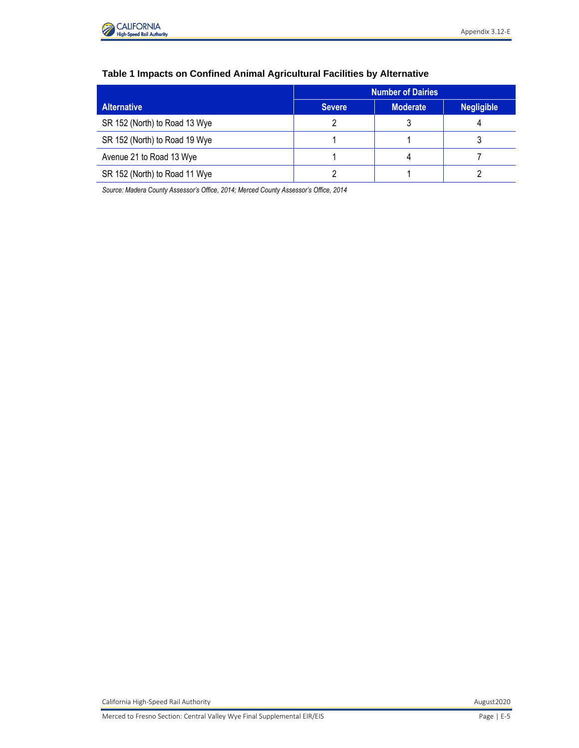

|                               | <b>Number of Dairies</b> |                 |                   |  |  |  |  |  |
|-------------------------------|--------------------------|-----------------|-------------------|--|--|--|--|--|
| <b>Alternative</b>            | <b>Severe</b>            | <b>Moderate</b> | <b>Negligible</b> |  |  |  |  |  |
| SR 152 (North) to Road 13 Wye |                          |                 |                   |  |  |  |  |  |
| SR 152 (North) to Road 19 Wye |                          |                 |                   |  |  |  |  |  |
| Avenue 21 to Road 13 Wye      |                          |                 |                   |  |  |  |  |  |
| SR 152 (North) to Road 11 Wye |                          |                 |                   |  |  |  |  |  |

# **Table 1 Impacts on Confined Animal Agricultural Facilities by Alternative**

*Source: Madera County Assessor's Office, 2014; Merced County Assessor's Office, 2014*

California High-Speed Rail Authority **August2020 August2020 August2020**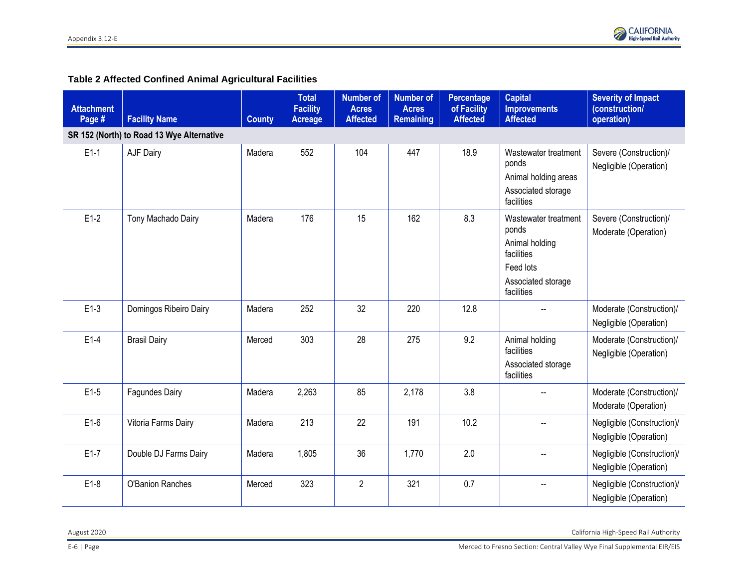# **Table 2 Affected Confined Animal Agricultural Facilities**

| <b>Attachment</b><br>Page # | <b>Facility Name</b>                      | <b>County</b> | <b>Total</b><br><b>Facility</b><br><b>Acreage</b> | <b>Number of</b><br><b>Acres</b><br><b>Affected</b> | <b>Number of</b><br><b>Acres</b><br><b>Remaining</b> | <b>Percentage</b><br>of Facility<br><b>Affected</b> | <b>Capital</b><br><b>Improvements</b><br><b>Affected</b>                                                       | <b>Severity of Impact</b><br>(construction/<br>operation) |
|-----------------------------|-------------------------------------------|---------------|---------------------------------------------------|-----------------------------------------------------|------------------------------------------------------|-----------------------------------------------------|----------------------------------------------------------------------------------------------------------------|-----------------------------------------------------------|
|                             | SR 152 (North) to Road 13 Wye Alternative |               |                                                   |                                                     |                                                      |                                                     |                                                                                                                |                                                           |
| $E1-1$                      | AJF Dairy                                 | Madera        | 552                                               | 104                                                 | 447                                                  | 18.9                                                | Wastewater treatment<br>ponds<br>Animal holding areas<br>Associated storage<br>facilities                      | Severe (Construction)/<br>Negligible (Operation)          |
| $E1-2$                      | Tony Machado Dairy                        | Madera        | 176                                               | 15                                                  | 162                                                  | 8.3                                                 | Wastewater treatment<br>ponds<br>Animal holding<br>facilities<br>Feed lots<br>Associated storage<br>facilities | Severe (Construction)/<br>Moderate (Operation)            |
| $E1-3$                      | Domingos Ribeiro Dairy                    | Madera        | 252                                               | 32                                                  | 220                                                  | 12.8                                                | $\sim$                                                                                                         | Moderate (Construction)/<br>Negligible (Operation)        |
| $E1-4$                      | <b>Brasil Dairy</b>                       | Merced        | 303                                               | 28                                                  | 275                                                  | 9.2                                                 | Animal holding<br>facilities<br>Associated storage<br>facilities                                               | Moderate (Construction)/<br>Negligible (Operation)        |
| $E1-5$                      | <b>Fagundes Dairy</b>                     | Madera        | 2,263                                             | 85                                                  | 2,178                                                | 3.8                                                 |                                                                                                                | Moderate (Construction)/<br>Moderate (Operation)          |
| $E1-6$                      | Vitoria Farms Dairy                       | Madera        | 213                                               | 22                                                  | 191                                                  | 10.2                                                |                                                                                                                | Negligible (Construction)/<br>Negligible (Operation)      |
| $E1-7$                      | Double DJ Farms Dairy                     | Madera        | 1,805                                             | 36                                                  | 1,770                                                | 2.0                                                 |                                                                                                                | Negligible (Construction)/<br>Negligible (Operation)      |
| $E1-8$                      | <b>O'Banion Ranches</b>                   | Merced        | 323                                               | $\overline{2}$                                      | 321                                                  | 0.7                                                 |                                                                                                                | Negligible (Construction)/<br>Negligible (Operation)      |

August 2020 California High-Speed Rail Authority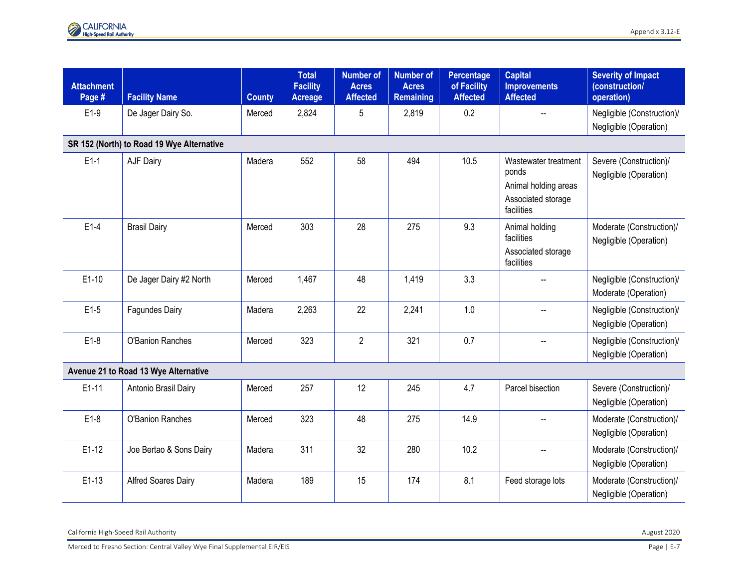| <b>Attachment</b><br>Page #               | <b>Facility Name</b>                 | <b>County</b> | <b>Total</b><br><b>Facility</b><br><b>Acreage</b> | <b>Number of</b><br><b>Acres</b><br><b>Affected</b> | <b>Number of</b><br><b>Acres</b><br><b>Remaining</b> | Percentage<br>of Facility<br><b>Affected</b> | <b>Capital</b><br><b>Improvements</b><br><b>Affected</b>                                  | <b>Severity of Impact</b><br>(construction/<br>operation) |  |  |  |  |
|-------------------------------------------|--------------------------------------|---------------|---------------------------------------------------|-----------------------------------------------------|------------------------------------------------------|----------------------------------------------|-------------------------------------------------------------------------------------------|-----------------------------------------------------------|--|--|--|--|
| $E1-9$                                    | De Jager Dairy So.                   | Merced        | 2,824                                             | 5                                                   | 2,819                                                | 0.2                                          |                                                                                           | Negligible (Construction)/<br>Negligible (Operation)      |  |  |  |  |
| SR 152 (North) to Road 19 Wye Alternative |                                      |               |                                                   |                                                     |                                                      |                                              |                                                                                           |                                                           |  |  |  |  |
| $E1-1$                                    | AJF Dairy                            | Madera        | 552                                               | 58                                                  | 494                                                  | 10.5                                         | Wastewater treatment<br>ponds<br>Animal holding areas<br>Associated storage<br>facilities | Severe (Construction)/<br>Negligible (Operation)          |  |  |  |  |
| $E1-4$                                    | <b>Brasil Dairy</b>                  | Merced        | 303                                               | 28                                                  | 275                                                  | 9.3                                          | Animal holding<br>facilities<br>Associated storage<br>facilities                          | Moderate (Construction)/<br>Negligible (Operation)        |  |  |  |  |
| $E1-10$                                   | De Jager Dairy #2 North              | Merced        | 1,467                                             | 48                                                  | 1,419                                                | 3.3                                          | $\overline{\phantom{a}}$                                                                  | Negligible (Construction)/<br>Moderate (Operation)        |  |  |  |  |
| $E1-5$                                    | Fagundes Dairy                       | Madera        | 2,263                                             | 22                                                  | 2,241                                                | 1.0                                          |                                                                                           | Negligible (Construction)/<br>Negligible (Operation)      |  |  |  |  |
| $E1-8$                                    | O'Banion Ranches                     | Merced        | 323                                               | $\overline{2}$                                      | 321                                                  | 0.7                                          |                                                                                           | Negligible (Construction)/<br>Negligible (Operation)      |  |  |  |  |
|                                           | Avenue 21 to Road 13 Wye Alternative |               |                                                   |                                                     |                                                      |                                              |                                                                                           |                                                           |  |  |  |  |
| $E1-11$                                   | Antonio Brasil Dairy                 | Merced        | 257                                               | 12                                                  | 245                                                  | 4.7                                          | Parcel bisection                                                                          | Severe (Construction)/<br>Negligible (Operation)          |  |  |  |  |
| $E1-8$                                    | O'Banion Ranches                     | Merced        | 323                                               | 48                                                  | 275                                                  | 14.9                                         |                                                                                           | Moderate (Construction)/<br>Negligible (Operation)        |  |  |  |  |
| $E1-12$                                   | Joe Bertao & Sons Dairy              | Madera        | 311                                               | 32                                                  | 280                                                  | 10.2                                         | --                                                                                        | Moderate (Construction)/<br>Negligible (Operation)        |  |  |  |  |
| $E1-13$                                   | <b>Alfred Soares Dairy</b>           | Madera        | 189                                               | 15                                                  | 174                                                  | 8.1                                          | Feed storage lots                                                                         | Moderate (Construction)/<br>Negligible (Operation)        |  |  |  |  |

California High-Speed Rail Authority August 2020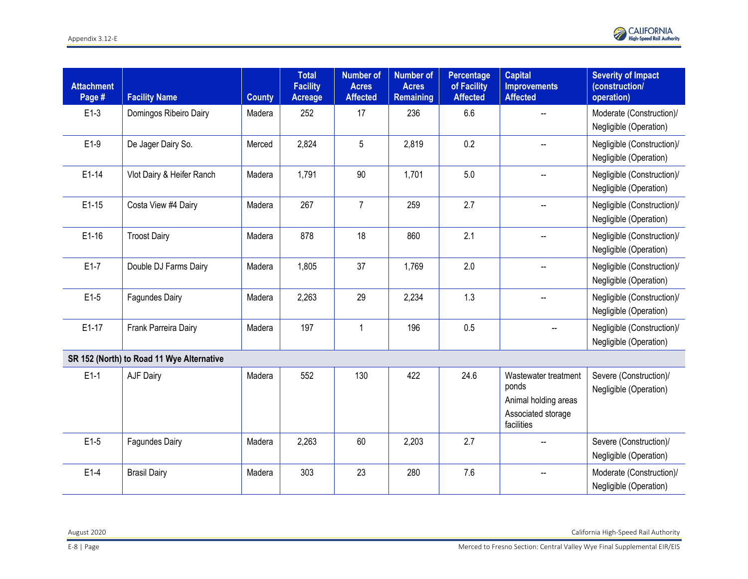

| <b>Attachment</b><br>Page # | <b>Facility Name</b>                      | <b>County</b> | <b>Total</b><br><b>Facility</b><br>Acreage | <b>Number of</b><br><b>Acres</b><br><b>Affected</b> | <b>Number of</b><br><b>Acres</b><br><b>Remaining</b> | <b>Percentage</b><br>of Facility<br><b>Affected</b> | <b>Capital</b><br><b>Improvements</b><br><b>Affected</b>                                  | <b>Severity of Impact</b><br>(construction/<br>operation) |
|-----------------------------|-------------------------------------------|---------------|--------------------------------------------|-----------------------------------------------------|------------------------------------------------------|-----------------------------------------------------|-------------------------------------------------------------------------------------------|-----------------------------------------------------------|
| $E1-3$                      | Domingos Ribeiro Dairy                    | Madera        | 252                                        | 17                                                  | 236                                                  | 6.6                                                 |                                                                                           | Moderate (Construction)/<br>Negligible (Operation)        |
| $E1-9$                      | De Jager Dairy So.                        | Merced        | 2,824                                      | 5                                                   | 2,819                                                | 0.2                                                 |                                                                                           | Negligible (Construction)/<br>Negligible (Operation)      |
| $E1-14$                     | Vlot Dairy & Heifer Ranch                 | Madera        | 1,791                                      | 90                                                  | 1,701                                                | 5.0                                                 |                                                                                           | Negligible (Construction)/<br>Negligible (Operation)      |
| $E1-15$                     | Costa View #4 Dairy                       | Madera        | 267                                        | $\overline{7}$                                      | 259                                                  | 2.7                                                 |                                                                                           | Negligible (Construction)/<br>Negligible (Operation)      |
| $E1-16$                     | <b>Troost Dairy</b>                       | Madera        | 878                                        | 18                                                  | 860                                                  | 2.1                                                 |                                                                                           | Negligible (Construction)/<br>Negligible (Operation)      |
| $E1-7$                      | Double DJ Farms Dairy                     | Madera        | 1,805                                      | 37                                                  | 1,769                                                | 2.0                                                 |                                                                                           | Negligible (Construction)/<br>Negligible (Operation)      |
| $E1-5$                      | Fagundes Dairy                            | Madera        | 2,263                                      | 29                                                  | 2,234                                                | 1.3                                                 |                                                                                           | Negligible (Construction)/<br>Negligible (Operation)      |
| $E1-17$                     | Frank Parreira Dairy                      | Madera        | 197                                        | $\mathbf{1}$                                        | 196                                                  | 0.5                                                 | --                                                                                        | Negligible (Construction)/<br>Negligible (Operation)      |
|                             | SR 152 (North) to Road 11 Wye Alternative |               |                                            |                                                     |                                                      |                                                     |                                                                                           |                                                           |
| $E1-1$                      | AJF Dairy                                 | Madera        | 552                                        | 130                                                 | 422                                                  | 24.6                                                | Wastewater treatment<br>ponds<br>Animal holding areas<br>Associated storage<br>facilities | Severe (Construction)/<br>Negligible (Operation)          |
| $E1-5$                      | <b>Fagundes Dairy</b>                     | Madera        | 2,263                                      | 60                                                  | 2,203                                                | 2.7                                                 |                                                                                           | Severe (Construction)/<br>Negligible (Operation)          |
| $E1-4$                      | <b>Brasil Dairy</b>                       | Madera        | 303                                        | 23                                                  | 280                                                  | 7.6                                                 |                                                                                           | Moderate (Construction)/<br>Negligible (Operation)        |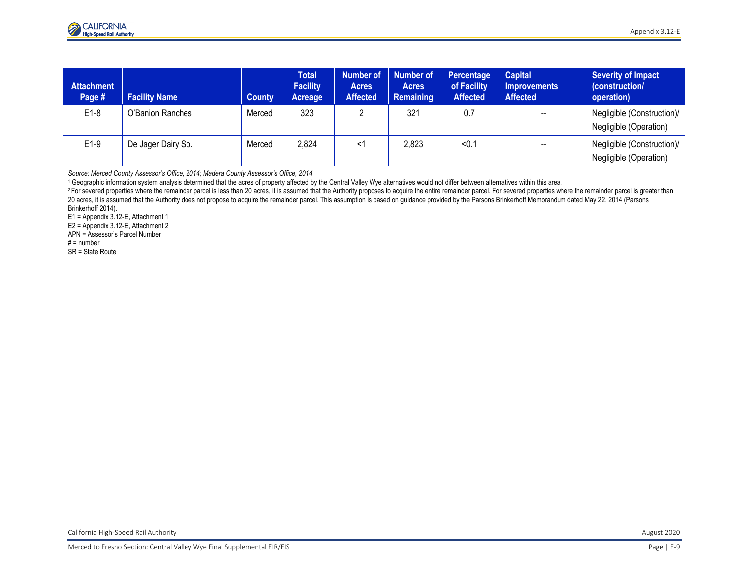| <b>Attachment</b><br>Page # | <b>Facility Name</b> | County | <b>Total</b><br><b>Facility</b><br>Acreage | <b>Number of</b><br><b>Acres</b><br><b>Affected</b> | <b>Number of</b><br><b>Acres</b><br>Remaining | Percentage<br>of Facility<br><b>Affected</b> | <b>Capital</b><br><b>Improvements</b><br><b>Affected</b> | Severity of Impact<br>(construction/<br>operation)   |
|-----------------------------|----------------------|--------|--------------------------------------------|-----------------------------------------------------|-----------------------------------------------|----------------------------------------------|----------------------------------------------------------|------------------------------------------------------|
| $E1-8$                      | O'Banion Ranches     | Merced | 323                                        |                                                     | 321                                           | 0.7                                          | $\hspace{0.05cm}$                                        | Negligible (Construction)/<br>Negligible (Operation) |
| $E1-9$                      | De Jager Dairy So.   | Merced | 2,824                                      | <1                                                  | 2,823                                         | < 0.1                                        | $\overline{\phantom{a}}$                                 | Negligible (Construction)/<br>Negligible (Operation) |

*Source: Merced County Assessor's Office, 2014; Madera County Assessor's Office, 2014*

<sup>1</sup> Geographic information system analysis determined that the acres of property affected by the Central Valley Wye alternatives would not differ between alternatives within this area.

<sup>2</sup>For severed properties where the remainder parcel is less than 20 acres, it is assumed that the Authority proposes to acquire the entire remainder parcel. For severed properties where the remainder parcel is greater tha 20 acres, it is assumed that the Authority does not propose to acquire the remainder parcel. This assumption is based on guidance provided by the Parsons Brinkerhoff Memorandum dated May 22, 2014 (Parsons Brinkerhoff 2014).

E1 = Appendix 3.12-E, Attachment 1

E2 = Appendix 3.12-E, Attachment 2

APN = Assessor's Parcel Number

 $# =$  number

SR = State Route

California High-Speed Rail Authority August 2020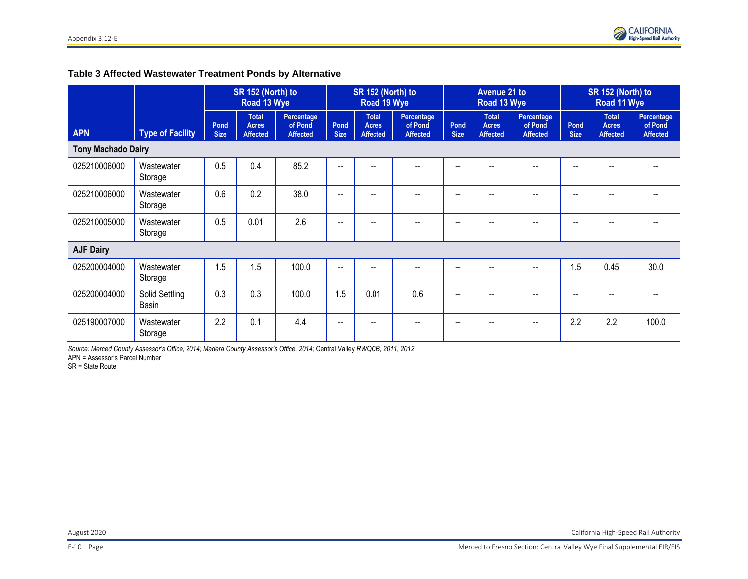# **Table 3 Affected Wastewater Treatment Ponds by Alternative**

|                           |                         | SR 152 (North) to<br>Road 13 Wye |                                                 |                                          | SR 152 (North) to<br>Road 19 Wye |                                                 |                                          | <b>Avenue 21 to</b><br>Road 13 Wye |                                                 |                                          | SR 152 (North) to<br>Road 11 Wye |                                                 |                                          |
|---------------------------|-------------------------|----------------------------------|-------------------------------------------------|------------------------------------------|----------------------------------|-------------------------------------------------|------------------------------------------|------------------------------------|-------------------------------------------------|------------------------------------------|----------------------------------|-------------------------------------------------|------------------------------------------|
| <b>APN</b>                | <b>Type of Facility</b> | Pond<br><b>Size</b>              | <b>Total</b><br><b>Acres</b><br><b>Affected</b> | Percentage<br>of Pond<br><b>Affected</b> | Pond<br><b>Size</b>              | <b>Total</b><br><b>Acres</b><br><b>Affected</b> | Percentage<br>of Pond<br><b>Affected</b> | Pond<br><b>Size</b>                | <b>Total</b><br><b>Acres</b><br><b>Affected</b> | Percentage<br>of Pond<br><b>Affected</b> | Pond<br><b>Size</b>              | <b>Total</b><br><b>Acres</b><br><b>Affected</b> | Percentage<br>of Pond<br><b>Affected</b> |
| <b>Tony Machado Dairy</b> |                         |                                  |                                                 |                                          |                                  |                                                 |                                          |                                    |                                                 |                                          |                                  |                                                 |                                          |
| 025210006000              | Wastewater<br>Storage   | 0.5                              | 0.4                                             | 85.2                                     | $\overline{\phantom{a}}$         |                                                 |                                          | --                                 |                                                 |                                          | --                               |                                                 |                                          |
| 025210006000              | Wastewater<br>Storage   | 0.6                              | 0.2                                             | 38.0                                     | --                               |                                                 |                                          | --                                 |                                                 |                                          | --                               |                                                 |                                          |
| 025210005000              | Wastewater<br>Storage   | 0.5                              | 0.01                                            | 2.6                                      | $- -$                            |                                                 |                                          | --                                 |                                                 |                                          | --                               |                                                 |                                          |
| <b>AJF Dairy</b>          |                         |                                  |                                                 |                                          |                                  |                                                 |                                          |                                    |                                                 |                                          |                                  |                                                 |                                          |
| 025200004000              | Wastewater<br>Storage   | 1.5                              | 1.5                                             | 100.0                                    | $\overline{\phantom{a}}$         |                                                 | --                                       | --                                 | $\overline{\phantom{a}}$                        | --                                       | .5                               | 0.45                                            | 30.0                                     |
| 025200004000              | Solid Settling<br>Basin | 0.3                              | 0.3                                             | 100.0                                    | 1.5                              | 0.01                                            | 0.6                                      | --                                 |                                                 |                                          | --                               |                                                 |                                          |
| 025190007000              | Wastewater<br>Storage   | 2.2                              | 0.1                                             | 4.4                                      | $-$                              |                                                 |                                          | --                                 |                                                 |                                          | 2.2                              | 2.2                                             | 100.0                                    |

*Source: Merced County Assessor's Office, 2014; Madera County Assessor's Office, 2014;* Central Valley *RWQCB, 2011, 2012* APN = Assessor's Parcel Number

SR = State Route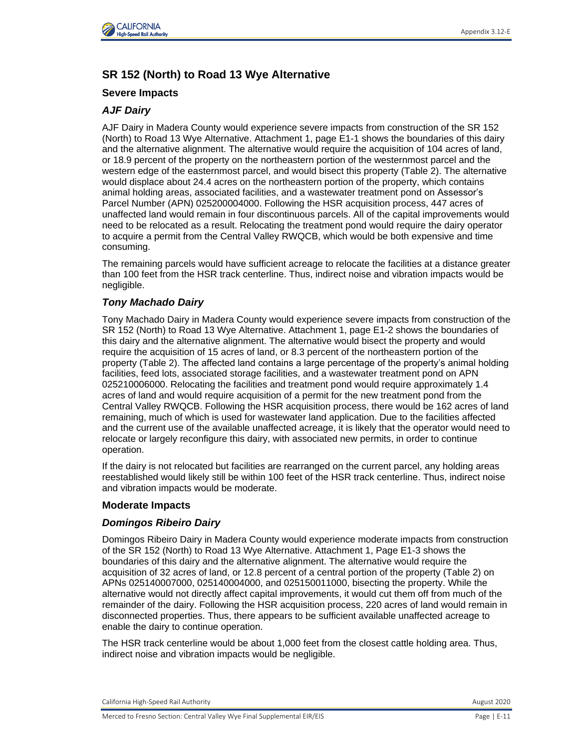

# **SR 152 (North) to Road 13 Wye Alternative**

# **Severe Impacts**

# *AJF Dairy*

AJF Dairy in Madera County would experience severe impacts from construction of the SR 152 (North) to Road 13 Wye Alternative. Attachment 1, page E1-1 shows the boundaries of this dairy and the alternative alignment. The alternative would require the acquisition of 104 acres of land, or 18.9 percent of the property on the northeastern portion of the westernmost parcel and the western edge of the easternmost parcel, and would bisect this property (Table 2). The alternative would displace about 24.4 acres on the northeastern portion of the property, which contains animal holding areas, associated facilities, and a wastewater treatment pond on Assessor's Parcel Number (APN) 025200004000. Following the HSR acquisition process, 447 acres of unaffected land would remain in four discontinuous parcels. All of the capital improvements would need to be relocated as a result. Relocating the treatment pond would require the dairy operator to acquire a permit from the Central Valley RWQCB, which would be both expensive and time consuming.

The remaining parcels would have sufficient acreage to relocate the facilities at a distance greater than 100 feet from the HSR track centerline. Thus, indirect noise and vibration impacts would be negligible.

# *Tony Machado Dairy*

Tony Machado Dairy in Madera County would experience severe impacts from construction of the SR 152 (North) to Road 13 Wye Alternative. Attachment 1, page E1-2 shows the boundaries of this dairy and the alternative alignment. The alternative would bisect the property and would require the acquisition of 15 acres of land, or 8.3 percent of the northeastern portion of the property (Table 2). The affected land contains a large percentage of the property's animal holding facilities, feed lots, associated storage facilities, and a wastewater treatment pond on APN 025210006000. Relocating the facilities and treatment pond would require approximately 1.4 acres of land and would require acquisition of a permit for the new treatment pond from the Central Valley RWQCB. Following the HSR acquisition process, there would be 162 acres of land remaining, much of which is used for wastewater land application. Due to the facilities affected and the current use of the available unaffected acreage, it is likely that the operator would need to relocate or largely reconfigure this dairy, with associated new permits, in order to continue operation.

If the dairy is not relocated but facilities are rearranged on the current parcel, any holding areas reestablished would likely still be within 100 feet of the HSR track centerline. Thus, indirect noise and vibration impacts would be moderate.

# **Moderate Impacts**

# *Domingos Ribeiro Dairy*

Domingos Ribeiro Dairy in Madera County would experience moderate impacts from construction of the SR 152 (North) to Road 13 Wye Alternative. Attachment 1, Page E1-3 shows the boundaries of this dairy and the alternative alignment. The alternative would require the acquisition of 32 acres of land, or 12.8 percent of a central portion of the property (Table 2) on APNs 025140007000, 025140004000, and 025150011000, bisecting the property. While the alternative would not directly affect capital improvements, it would cut them off from much of the remainder of the dairy. Following the HSR acquisition process, 220 acres of land would remain in disconnected properties. Thus, there appears to be sufficient available unaffected acreage to enable the dairy to continue operation.

The HSR track centerline would be about 1,000 feet from the closest cattle holding area. Thus, indirect noise and vibration impacts would be negligible.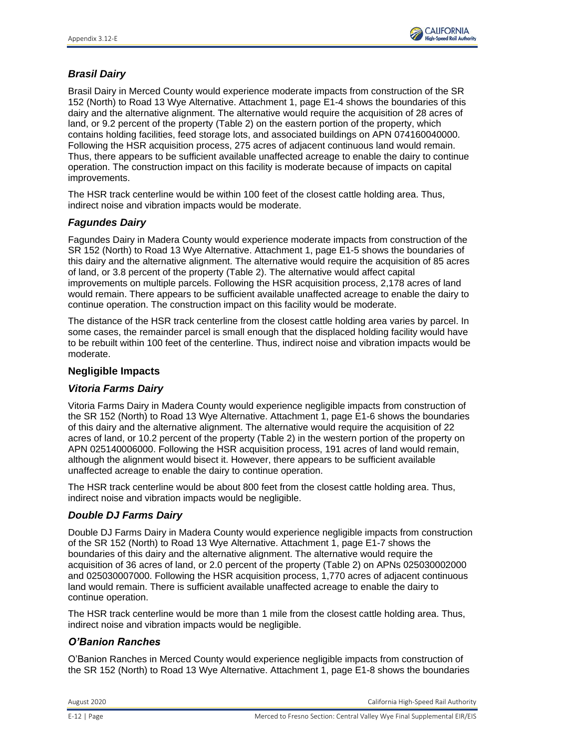

# *Brasil Dairy*

Brasil Dairy in Merced County would experience moderate impacts from construction of the SR 152 (North) to Road 13 Wye Alternative. Attachment 1, page E1-4 shows the boundaries of this dairy and the alternative alignment. The alternative would require the acquisition of 28 acres of land, or 9.2 percent of the property (Table 2) on the eastern portion of the property, which contains holding facilities, feed storage lots, and associated buildings on APN 074160040000. Following the HSR acquisition process, 275 acres of adjacent continuous land would remain. Thus, there appears to be sufficient available unaffected acreage to enable the dairy to continue operation. The construction impact on this facility is moderate because of impacts on capital improvements.

The HSR track centerline would be within 100 feet of the closest cattle holding area. Thus, indirect noise and vibration impacts would be moderate.

### *Fagundes Dairy*

Fagundes Dairy in Madera County would experience moderate impacts from construction of the SR 152 (North) to Road 13 Wye Alternative. Attachment 1, page E1-5 shows the boundaries of this dairy and the alternative alignment. The alternative would require the acquisition of 85 acres of land, or 3.8 percent of the property (Table 2). The alternative would affect capital improvements on multiple parcels. Following the HSR acquisition process, 2,178 acres of land would remain. There appears to be sufficient available unaffected acreage to enable the dairy to continue operation. The construction impact on this facility would be moderate.

The distance of the HSR track centerline from the closest cattle holding area varies by parcel. In some cases, the remainder parcel is small enough that the displaced holding facility would have to be rebuilt within 100 feet of the centerline. Thus, indirect noise and vibration impacts would be moderate.

### **Negligible Impacts**

# *Vitoria Farms Dairy*

Vitoria Farms Dairy in Madera County would experience negligible impacts from construction of the SR 152 (North) to Road 13 Wye Alternative. Attachment 1, page E1-6 shows the boundaries of this dairy and the alternative alignment. The alternative would require the acquisition of 22 acres of land, or 10.2 percent of the property (Table 2) in the western portion of the property on APN 025140006000. Following the HSR acquisition process, 191 acres of land would remain, although the alignment would bisect it. However, there appears to be sufficient available unaffected acreage to enable the dairy to continue operation.

The HSR track centerline would be about 800 feet from the closest cattle holding area. Thus, indirect noise and vibration impacts would be negligible.

# *Double DJ Farms Dairy*

Double DJ Farms Dairy in Madera County would experience negligible impacts from construction of the SR 152 (North) to Road 13 Wye Alternative. Attachment 1, page E1-7 shows the boundaries of this dairy and the alternative alignment. The alternative would require the acquisition of 36 acres of land, or 2.0 percent of the property (Table 2) on APNs 025030002000 and 025030007000. Following the HSR acquisition process, 1,770 acres of adjacent continuous land would remain. There is sufficient available unaffected acreage to enable the dairy to continue operation.

The HSR track centerline would be more than 1 mile from the closest cattle holding area. Thus, indirect noise and vibration impacts would be negligible.

# *O'Banion Ranches*

O'Banion Ranches in Merced County would experience negligible impacts from construction of the SR 152 (North) to Road 13 Wye Alternative. Attachment 1, page E1-8 shows the boundaries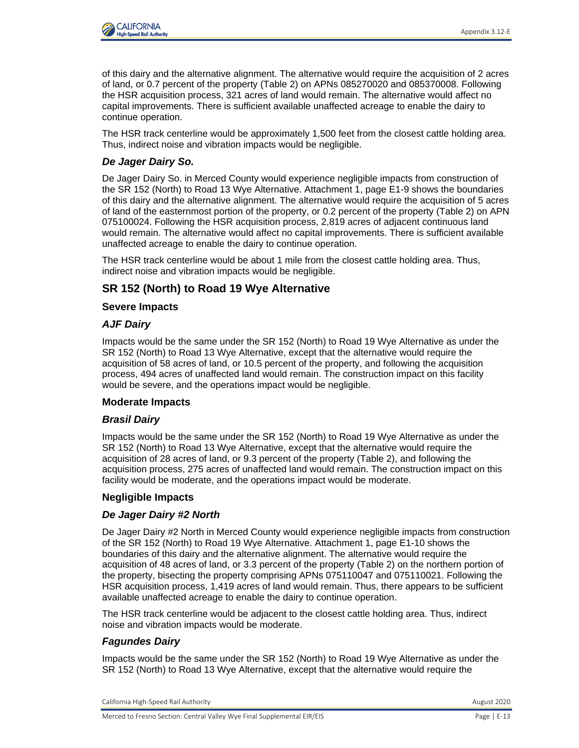

of this dairy and the alternative alignment. The alternative would require the acquisition of 2 acres of land, or 0.7 percent of the property (Table 2) on APNs 085270020 and 085370008. Following the HSR acquisition process, 321 acres of land would remain. The alternative would affect no capital improvements. There is sufficient available unaffected acreage to enable the dairy to continue operation.

The HSR track centerline would be approximately 1,500 feet from the closest cattle holding area. Thus, indirect noise and vibration impacts would be negligible.

# *De Jager Dairy So.*

De Jager Dairy So. in Merced County would experience negligible impacts from construction of the SR 152 (North) to Road 13 Wye Alternative. Attachment 1, page E1-9 shows the boundaries of this dairy and the alternative alignment. The alternative would require the acquisition of 5 acres of land of the easternmost portion of the property, or 0.2 percent of the property (Table 2) on APN 075100024. Following the HSR acquisition process, 2,819 acres of adjacent continuous land would remain. The alternative would affect no capital improvements. There is sufficient available unaffected acreage to enable the dairy to continue operation.

The HSR track centerline would be about 1 mile from the closest cattle holding area. Thus, indirect noise and vibration impacts would be negligible.

# **SR 152 (North) to Road 19 Wye Alternative**

# **Severe Impacts**

# *AJF Dairy*

Impacts would be the same under the SR 152 (North) to Road 19 Wye Alternative as under the SR 152 (North) to Road 13 Wye Alternative, except that the alternative would require the acquisition of 58 acres of land, or 10.5 percent of the property, and following the acquisition process, 494 acres of unaffected land would remain. The construction impact on this facility would be severe, and the operations impact would be negligible.

### **Moderate Impacts**

# *Brasil Dairy*

Impacts would be the same under the SR 152 (North) to Road 19 Wye Alternative as under the SR 152 (North) to Road 13 Wye Alternative, except that the alternative would require the acquisition of 28 acres of land, or 9.3 percent of the property (Table 2), and following the acquisition process, 275 acres of unaffected land would remain. The construction impact on this facility would be moderate, and the operations impact would be moderate.

### **Negligible Impacts**

# *De Jager Dairy #2 North*

De Jager Dairy #2 North in Merced County would experience negligible impacts from construction of the SR 152 (North) to Road 19 Wye Alternative. Attachment 1, page E1-10 shows the boundaries of this dairy and the alternative alignment. The alternative would require the acquisition of 48 acres of land, or 3.3 percent of the property (Table 2) on the northern portion of the property, bisecting the property comprising APNs 075110047 and 075110021. Following the HSR acquisition process, 1,419 acres of land would remain. Thus, there appears to be sufficient available unaffected acreage to enable the dairy to continue operation.

The HSR track centerline would be adjacent to the closest cattle holding area. Thus, indirect noise and vibration impacts would be moderate.

# *Fagundes Dairy*

Impacts would be the same under the SR 152 (North) to Road 19 Wye Alternative as under the SR 152 (North) to Road 13 Wye Alternative, except that the alternative would require the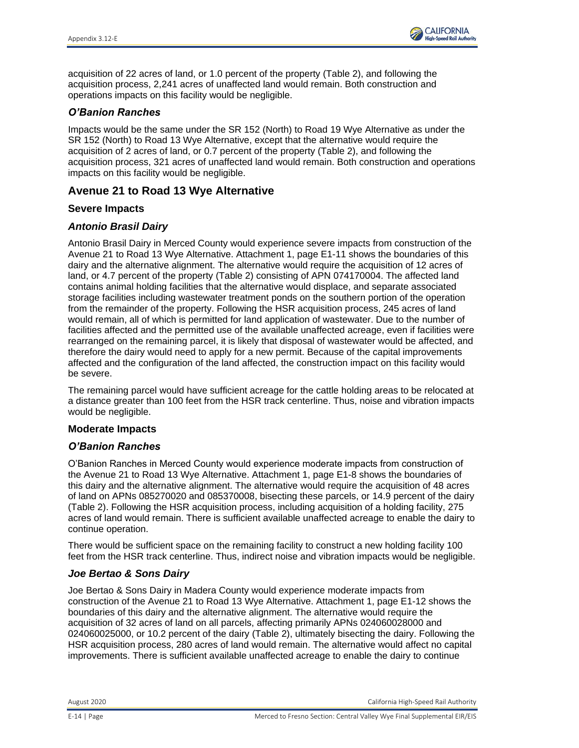

acquisition of 22 acres of land, or 1.0 percent of the property (Table 2), and following the acquisition process, 2,241 acres of unaffected land would remain. Both construction and operations impacts on this facility would be negligible.

### *O'Banion Ranches*

Impacts would be the same under the SR 152 (North) to Road 19 Wye Alternative as under the SR 152 (North) to Road 13 Wye Alternative, except that the alternative would require the acquisition of 2 acres of land, or 0.7 percent of the property (Table 2), and following the acquisition process, 321 acres of unaffected land would remain. Both construction and operations impacts on this facility would be negligible.

# **Avenue 21 to Road 13 Wye Alternative**

### **Severe Impacts**

### *Antonio Brasil Dairy*

Antonio Brasil Dairy in Merced County would experience severe impacts from construction of the Avenue 21 to Road 13 Wye Alternative. Attachment 1, page E1-11 shows the boundaries of this dairy and the alternative alignment. The alternative would require the acquisition of 12 acres of land, or 4.7 percent of the property (Table 2) consisting of APN 074170004. The affected land contains animal holding facilities that the alternative would displace, and separate associated storage facilities including wastewater treatment ponds on the southern portion of the operation from the remainder of the property. Following the HSR acquisition process, 245 acres of land would remain, all of which is permitted for land application of wastewater. Due to the number of facilities affected and the permitted use of the available unaffected acreage, even if facilities were rearranged on the remaining parcel, it is likely that disposal of wastewater would be affected, and therefore the dairy would need to apply for a new permit. Because of the capital improvements affected and the configuration of the land affected, the construction impact on this facility would be severe.

The remaining parcel would have sufficient acreage for the cattle holding areas to be relocated at a distance greater than 100 feet from the HSR track centerline. Thus, noise and vibration impacts would be negligible.

### **Moderate Impacts**

### *O'Banion Ranches*

O'Banion Ranches in Merced County would experience moderate impacts from construction of the Avenue 21 to Road 13 Wye Alternative. Attachment 1, page E1-8 shows the boundaries of this dairy and the alternative alignment. The alternative would require the acquisition of 48 acres of land on APNs 085270020 and 085370008, bisecting these parcels, or 14.9 percent of the dairy (Table 2). Following the HSR acquisition process, including acquisition of a holding facility, 275 acres of land would remain. There is sufficient available unaffected acreage to enable the dairy to continue operation.

There would be sufficient space on the remaining facility to construct a new holding facility 100 feet from the HSR track centerline. Thus, indirect noise and vibration impacts would be negligible.

### *Joe Bertao & Sons Dairy*

Joe Bertao & Sons Dairy in Madera County would experience moderate impacts from construction of the Avenue 21 to Road 13 Wye Alternative. Attachment 1, page E1-12 shows the boundaries of this dairy and the alternative alignment. The alternative would require the acquisition of 32 acres of land on all parcels, affecting primarily APNs 024060028000 and 024060025000, or 10.2 percent of the dairy (Table 2), ultimately bisecting the dairy. Following the HSR acquisition process, 280 acres of land would remain. The alternative would affect no capital improvements. There is sufficient available unaffected acreage to enable the dairy to continue

August 2020 California High-Speed Rail Authority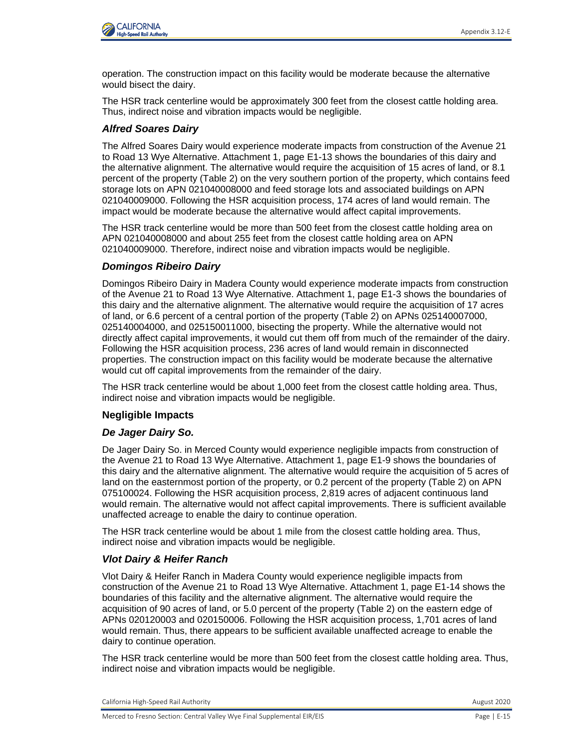

operation. The construction impact on this facility would be moderate because the alternative would bisect the dairy.

The HSR track centerline would be approximately 300 feet from the closest cattle holding area. Thus, indirect noise and vibration impacts would be negligible.

### *Alfred Soares Dairy*

The Alfred Soares Dairy would experience moderate impacts from construction of the Avenue 21 to Road 13 Wye Alternative. Attachment 1, page E1-13 shows the boundaries of this dairy and the alternative alignment. The alternative would require the acquisition of 15 acres of land, or 8.1 percent of the property (Table 2) on the very southern portion of the property, which contains feed storage lots on APN 021040008000 and feed storage lots and associated buildings on APN 021040009000. Following the HSR acquisition process, 174 acres of land would remain. The impact would be moderate because the alternative would affect capital improvements.

The HSR track centerline would be more than 500 feet from the closest cattle holding area on APN 021040008000 and about 255 feet from the closest cattle holding area on APN 021040009000. Therefore, indirect noise and vibration impacts would be negligible.

### *Domingos Ribeiro Dairy*

Domingos Ribeiro Dairy in Madera County would experience moderate impacts from construction of the Avenue 21 to Road 13 Wye Alternative. Attachment 1, page E1-3 shows the boundaries of this dairy and the alternative alignment. The alternative would require the acquisition of 17 acres of land, or 6.6 percent of a central portion of the property (Table 2) on APNs 025140007000, 025140004000, and 025150011000, bisecting the property. While the alternative would not directly affect capital improvements, it would cut them off from much of the remainder of the dairy. Following the HSR acquisition process, 236 acres of land would remain in disconnected properties. The construction impact on this facility would be moderate because the alternative would cut off capital improvements from the remainder of the dairy.

The HSR track centerline would be about 1,000 feet from the closest cattle holding area. Thus, indirect noise and vibration impacts would be negligible.

### **Negligible Impacts**

#### *De Jager Dairy So.*

De Jager Dairy So. in Merced County would experience negligible impacts from construction of the Avenue 21 to Road 13 Wye Alternative. Attachment 1, page E1-9 shows the boundaries of this dairy and the alternative alignment. The alternative would require the acquisition of 5 acres of land on the easternmost portion of the property, or 0.2 percent of the property (Table 2) on APN 075100024. Following the HSR acquisition process, 2,819 acres of adjacent continuous land would remain. The alternative would not affect capital improvements. There is sufficient available unaffected acreage to enable the dairy to continue operation.

The HSR track centerline would be about 1 mile from the closest cattle holding area. Thus, indirect noise and vibration impacts would be negligible.

#### *Vlot Dairy & Heifer Ranch*

Vlot Dairy & Heifer Ranch in Madera County would experience negligible impacts from construction of the Avenue 21 to Road 13 Wye Alternative. Attachment 1, page E1-14 shows the boundaries of this facility and the alternative alignment. The alternative would require the acquisition of 90 acres of land, or 5.0 percent of the property (Table 2) on the eastern edge of APNs 020120003 and 020150006. Following the HSR acquisition process, 1,701 acres of land would remain. Thus, there appears to be sufficient available unaffected acreage to enable the dairy to continue operation.

The HSR track centerline would be more than 500 feet from the closest cattle holding area. Thus, indirect noise and vibration impacts would be negligible.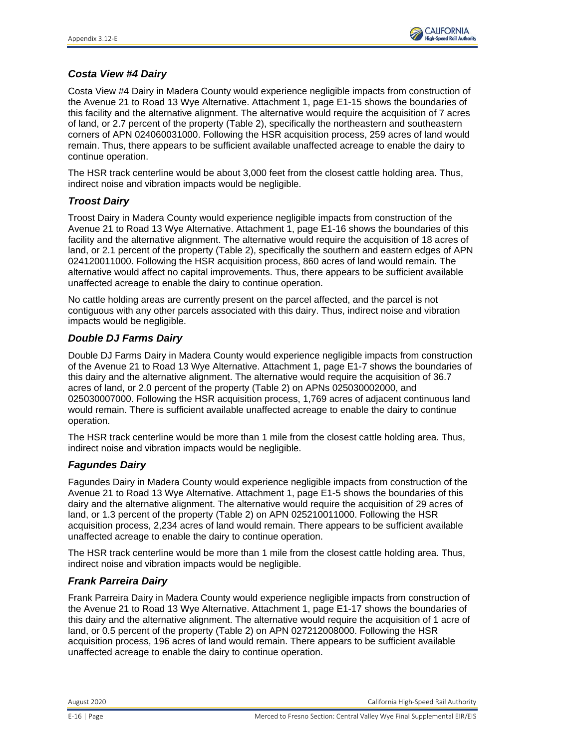

# *Costa View #4 Dairy*

Costa View #4 Dairy in Madera County would experience negligible impacts from construction of the Avenue 21 to Road 13 Wye Alternative. Attachment 1, page E1-15 shows the boundaries of this facility and the alternative alignment. The alternative would require the acquisition of 7 acres of land, or 2.7 percent of the property (Table 2), specifically the northeastern and southeastern corners of APN 024060031000. Following the HSR acquisition process, 259 acres of land would remain. Thus, there appears to be sufficient available unaffected acreage to enable the dairy to continue operation.

The HSR track centerline would be about 3,000 feet from the closest cattle holding area. Thus, indirect noise and vibration impacts would be negligible.

### *Troost Dairy*

Troost Dairy in Madera County would experience negligible impacts from construction of the Avenue 21 to Road 13 Wye Alternative. Attachment 1, page E1-16 shows the boundaries of this facility and the alternative alignment. The alternative would require the acquisition of 18 acres of land, or 2.1 percent of the property (Table 2), specifically the southern and eastern edges of APN 024120011000. Following the HSR acquisition process, 860 acres of land would remain. The alternative would affect no capital improvements. Thus, there appears to be sufficient available unaffected acreage to enable the dairy to continue operation.

No cattle holding areas are currently present on the parcel affected, and the parcel is not contiguous with any other parcels associated with this dairy. Thus, indirect noise and vibration impacts would be negligible.

### *Double DJ Farms Dairy*

Double DJ Farms Dairy in Madera County would experience negligible impacts from construction of the Avenue 21 to Road 13 Wye Alternative. Attachment 1, page E1-7 shows the boundaries of this dairy and the alternative alignment. The alternative would require the acquisition of 36.7 acres of land, or 2.0 percent of the property (Table 2) on APNs 025030002000, and 025030007000. Following the HSR acquisition process, 1,769 acres of adjacent continuous land would remain. There is sufficient available unaffected acreage to enable the dairy to continue operation.

The HSR track centerline would be more than 1 mile from the closest cattle holding area. Thus, indirect noise and vibration impacts would be negligible.

### *Fagundes Dairy*

Fagundes Dairy in Madera County would experience negligible impacts from construction of the Avenue 21 to Road 13 Wye Alternative. Attachment 1, page E1-5 shows the boundaries of this dairy and the alternative alignment. The alternative would require the acquisition of 29 acres of land, or 1.3 percent of the property (Table 2) on APN 025210011000. Following the HSR acquisition process, 2,234 acres of land would remain. There appears to be sufficient available unaffected acreage to enable the dairy to continue operation.

The HSR track centerline would be more than 1 mile from the closest cattle holding area. Thus, indirect noise and vibration impacts would be negligible.

# *Frank Parreira Dairy*

Frank Parreira Dairy in Madera County would experience negligible impacts from construction of the Avenue 21 to Road 13 Wye Alternative. Attachment 1, page E1-17 shows the boundaries of this dairy and the alternative alignment. The alternative would require the acquisition of 1 acre of land, or 0.5 percent of the property (Table 2) on APN 027212008000. Following the HSR acquisition process, 196 acres of land would remain. There appears to be sufficient available unaffected acreage to enable the dairy to continue operation.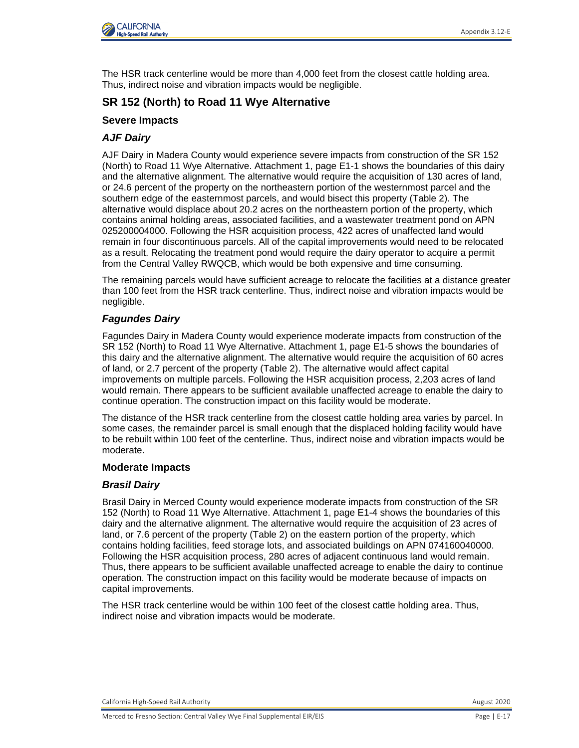

The HSR track centerline would be more than 4,000 feet from the closest cattle holding area. Thus, indirect noise and vibration impacts would be negligible.

# **SR 152 (North) to Road 11 Wye Alternative**

### **Severe Impacts**

# *AJF Dairy*

AJF Dairy in Madera County would experience severe impacts from construction of the SR 152 (North) to Road 11 Wye Alternative. Attachment 1, page E1-1 shows the boundaries of this dairy and the alternative alignment. The alternative would require the acquisition of 130 acres of land, or 24.6 percent of the property on the northeastern portion of the westernmost parcel and the southern edge of the easternmost parcels, and would bisect this property (Table 2). The alternative would displace about 20.2 acres on the northeastern portion of the property, which contains animal holding areas, associated facilities, and a wastewater treatment pond on APN 025200004000. Following the HSR acquisition process, 422 acres of unaffected land would remain in four discontinuous parcels. All of the capital improvements would need to be relocated as a result. Relocating the treatment pond would require the dairy operator to acquire a permit from the Central Valley RWQCB, which would be both expensive and time consuming.

The remaining parcels would have sufficient acreage to relocate the facilities at a distance greater than 100 feet from the HSR track centerline. Thus, indirect noise and vibration impacts would be negligible.

# *Fagundes Dairy*

Fagundes Dairy in Madera County would experience moderate impacts from construction of the SR 152 (North) to Road 11 Wye Alternative. Attachment 1, page E1-5 shows the boundaries of this dairy and the alternative alignment. The alternative would require the acquisition of 60 acres of land, or 2.7 percent of the property (Table 2). The alternative would affect capital improvements on multiple parcels. Following the HSR acquisition process, 2,203 acres of land would remain. There appears to be sufficient available unaffected acreage to enable the dairy to continue operation. The construction impact on this facility would be moderate.

The distance of the HSR track centerline from the closest cattle holding area varies by parcel. In some cases, the remainder parcel is small enough that the displaced holding facility would have to be rebuilt within 100 feet of the centerline. Thus, indirect noise and vibration impacts would be moderate.

### **Moderate Impacts**

### *Brasil Dairy*

Brasil Dairy in Merced County would experience moderate impacts from construction of the SR 152 (North) to Road 11 Wye Alternative. Attachment 1, page E1-4 shows the boundaries of this dairy and the alternative alignment. The alternative would require the acquisition of 23 acres of land, or 7.6 percent of the property (Table 2) on the eastern portion of the property, which contains holding facilities, feed storage lots, and associated buildings on APN 074160040000. Following the HSR acquisition process, 280 acres of adjacent continuous land would remain. Thus, there appears to be sufficient available unaffected acreage to enable the dairy to continue operation. The construction impact on this facility would be moderate because of impacts on capital improvements.

The HSR track centerline would be within 100 feet of the closest cattle holding area. Thus, indirect noise and vibration impacts would be moderate.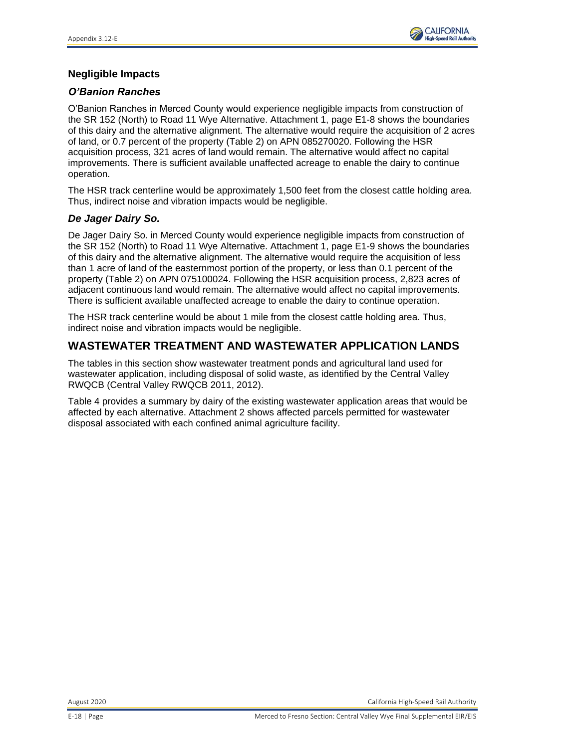

# **Negligible Impacts**

### *O'Banion Ranches*

O'Banion Ranches in Merced County would experience negligible impacts from construction of the SR 152 (North) to Road 11 Wye Alternative. Attachment 1, page E1-8 shows the boundaries of this dairy and the alternative alignment. The alternative would require the acquisition of 2 acres of land, or 0.7 percent of the property (Table 2) on APN 085270020. Following the HSR acquisition process, 321 acres of land would remain. The alternative would affect no capital improvements. There is sufficient available unaffected acreage to enable the dairy to continue operation.

The HSR track centerline would be approximately 1,500 feet from the closest cattle holding area. Thus, indirect noise and vibration impacts would be negligible.

### *De Jager Dairy So.*

De Jager Dairy So. in Merced County would experience negligible impacts from construction of the SR 152 (North) to Road 11 Wye Alternative. Attachment 1, page E1-9 shows the boundaries of this dairy and the alternative alignment. The alternative would require the acquisition of less than 1 acre of land of the easternmost portion of the property, or less than 0.1 percent of the property (Table 2) on APN 075100024. Following the HSR acquisition process, 2,823 acres of adjacent continuous land would remain. The alternative would affect no capital improvements. There is sufficient available unaffected acreage to enable the dairy to continue operation.

The HSR track centerline would be about 1 mile from the closest cattle holding area. Thus, indirect noise and vibration impacts would be negligible.

# **WASTEWATER TREATMENT AND WASTEWATER APPLICATION LANDS**

The tables in this section show wastewater treatment ponds and agricultural land used for wastewater application, including disposal of solid waste, as identified by the Central Valley RWQCB (Central Valley RWQCB 2011, 2012).

Table 4 provides a summary by dairy of the existing wastewater application areas that would be affected by each alternative. Attachment 2 shows affected parcels permitted for wastewater disposal associated with each confined animal agriculture facility.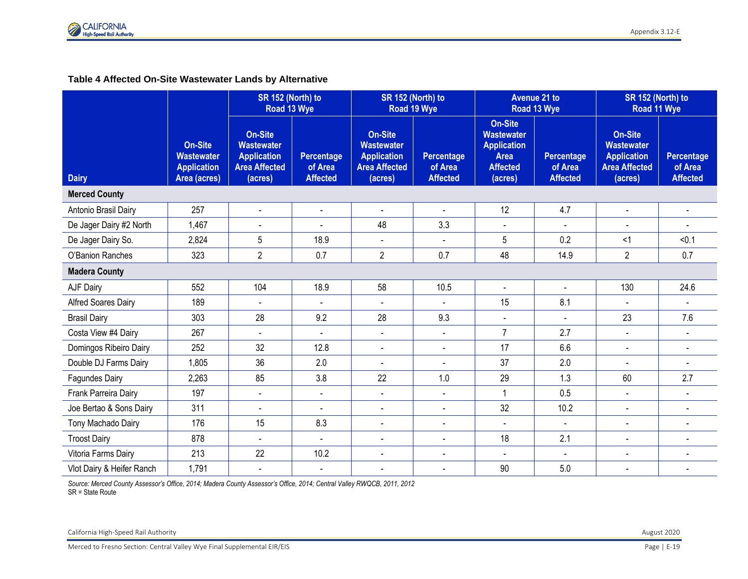### **Table 4 Affected On-Site Wastewater Lands by Alternative**

|                           | SR 152 (North) to<br>Road 13 Wye                                          |                                                                                              | SR 152 (North) to                        | Road 19 Wye                                                                                  |                                          | <b>Avenue 21 to</b><br>Road 13 Wye                                                                     | SR 152 (North) to<br>Road 11 Wye         |                                                                                              |                                          |
|---------------------------|---------------------------------------------------------------------------|----------------------------------------------------------------------------------------------|------------------------------------------|----------------------------------------------------------------------------------------------|------------------------------------------|--------------------------------------------------------------------------------------------------------|------------------------------------------|----------------------------------------------------------------------------------------------|------------------------------------------|
| <b>Dairy</b>              | <b>On-Site</b><br><b>Wastewater</b><br><b>Application</b><br>Area (acres) | <b>On-Site</b><br><b>Wastewater</b><br><b>Application</b><br><b>Area Affected</b><br>(acres) | Percentage<br>of Area<br><b>Affected</b> | <b>On-Site</b><br><b>Wastewater</b><br><b>Application</b><br><b>Area Affected</b><br>(acres) | Percentage<br>of Area<br><b>Affected</b> | <b>On-Site</b><br><b>Wastewater</b><br><b>Application</b><br><b>Area</b><br><b>Affected</b><br>(acres) | Percentage<br>of Area<br><b>Affected</b> | <b>On-Site</b><br><b>Wastewater</b><br><b>Application</b><br><b>Area Affected</b><br>(acres) | Percentage<br>of Area<br><b>Affected</b> |
| <b>Merced County</b>      |                                                                           |                                                                                              |                                          |                                                                                              |                                          |                                                                                                        |                                          |                                                                                              |                                          |
| Antonio Brasil Dairy      | 257                                                                       | $\blacksquare$                                                                               | $\blacksquare$                           | $\sim$                                                                                       |                                          | 12                                                                                                     | 4.7                                      | $\blacksquare$                                                                               |                                          |
| De Jager Dairy #2 North   | 1,467                                                                     | $\blacksquare$                                                                               | L.                                       | 48                                                                                           | 3.3                                      | $\blacksquare$                                                                                         | $\blacksquare$                           | $\blacksquare$                                                                               | $\overline{a}$                           |
| De Jager Dairy So.        | 2,824                                                                     | 5                                                                                            | 18.9                                     | $\blacksquare$                                                                               | $\blacksquare$                           | 5                                                                                                      | 0.2                                      | $\leq$ 1                                                                                     | < 0.1                                    |
| O'Banion Ranches          | 323                                                                       | $\overline{2}$                                                                               | 0.7                                      | $\overline{2}$                                                                               | 0.7                                      | 48                                                                                                     | 14.9                                     | $\overline{2}$                                                                               | 0.7                                      |
| <b>Madera County</b>      |                                                                           |                                                                                              |                                          |                                                                                              |                                          |                                                                                                        |                                          |                                                                                              |                                          |
| AJF Dairy                 | 552                                                                       | 104                                                                                          | 18.9                                     | 58                                                                                           | 10.5                                     | $\sim$                                                                                                 | $\blacksquare$                           | 130                                                                                          | 24.6                                     |
| Alfred Soares Dairy       | 189                                                                       | $\sim$                                                                                       | $\blacksquare$                           | $\sim$                                                                                       | $\sim$                                   | 15                                                                                                     | 8.1                                      | $\sim$                                                                                       | $\sim$                                   |
| <b>Brasil Dairy</b>       | 303                                                                       | 28                                                                                           | 9.2                                      | 28                                                                                           | 9.3                                      | $\blacksquare$                                                                                         | $\sim$                                   | 23                                                                                           | 7.6                                      |
| Costa View #4 Dairy       | 267                                                                       | $\blacksquare$                                                                               |                                          | $\blacksquare$                                                                               | $\blacksquare$                           | $\overline{7}$                                                                                         | 2.7                                      | $\blacksquare$                                                                               |                                          |
| Domingos Ribeiro Dairy    | 252                                                                       | 32                                                                                           | 12.8                                     | $\blacksquare$                                                                               | $\blacksquare$                           | 17                                                                                                     | 6.6                                      | $\blacksquare$                                                                               | $\overline{a}$                           |
| Double DJ Farms Dairy     | 1,805                                                                     | 36                                                                                           | 2.0                                      | $\overline{a}$                                                                               |                                          | 37                                                                                                     | 2.0                                      |                                                                                              |                                          |
| <b>Fagundes Dairy</b>     | 2,263                                                                     | 85                                                                                           | 3.8                                      | 22                                                                                           | 1.0                                      | 29                                                                                                     | 1.3                                      | 60                                                                                           | 2.7                                      |
| Frank Parreira Dairy      | 197                                                                       | $\overline{\phantom{a}}$                                                                     | $\blacksquare$                           | $\blacksquare$                                                                               | $\overline{a}$                           | $\mathbf{1}$                                                                                           | 0.5                                      | $\blacksquare$                                                                               | $\sim$                                   |
| Joe Bertao & Sons Dairy   | 311                                                                       | $\overline{\phantom{a}}$                                                                     | $\overline{a}$                           | $\blacksquare$                                                                               | $\overline{a}$                           | 32                                                                                                     | 10.2                                     | $\blacksquare$                                                                               | $\sim$                                   |
| Tony Machado Dairy        | 176                                                                       | 15                                                                                           | 8.3                                      | $\Delta$                                                                                     | $\blacksquare$                           | $\blacksquare$                                                                                         | $\mathbf{r}$                             | $\blacksquare$                                                                               | $\blacksquare$                           |
| <b>Troost Dairy</b>       | 878                                                                       | $\sim$                                                                                       | $\blacksquare$                           | $\blacksquare$                                                                               | $\overline{a}$                           | 18                                                                                                     | 2.1                                      | $\blacksquare$                                                                               | $\overline{a}$                           |
| Vitoria Farms Dairy       | 213                                                                       | 22                                                                                           | 10.2                                     | $\blacksquare$                                                                               | $\overline{a}$                           | $\sim$                                                                                                 | $\blacksquare$                           | $\overline{a}$                                                                               | $\overline{\phantom{a}}$                 |
| Vlot Dairy & Heifer Ranch | 1,791                                                                     | $\blacksquare$                                                                               | $\blacksquare$                           | $\sim$                                                                                       | $\blacksquare$                           | 90                                                                                                     | 5.0                                      | $\blacksquare$                                                                               |                                          |

*Source: Merced County Assessor's Office, 2014; Madera County Assessor's Office, 2014; Central Valley RWQCB, 2011, 2012* SR = State Route